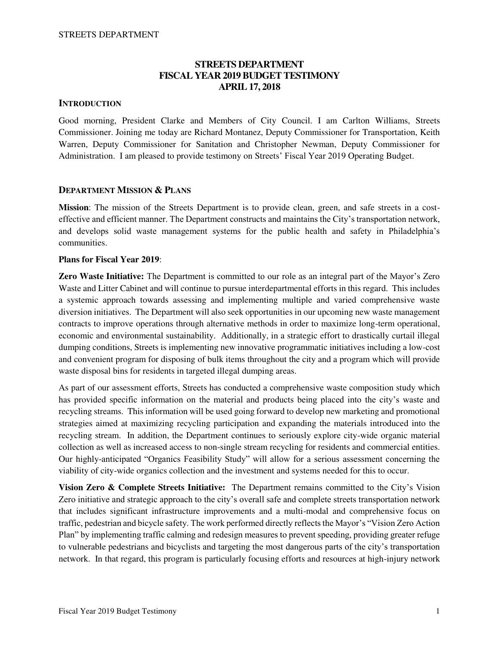## **STREETS DEPARTMENT FISCAL YEAR 2019 BUDGET TESTIMONY APRIL 17, 2018**

## **INTRODUCTION**

Good morning, President Clarke and Members of City Council. I am Carlton Williams, Streets Commissioner. Joining me today are Richard Montanez, Deputy Commissioner for Transportation, Keith Warren, Deputy Commissioner for Sanitation and Christopher Newman, Deputy Commissioner for Administration. I am pleased to provide testimony on Streets' Fiscal Year 2019 Operating Budget.

#### **DEPARTMENT MISSION & PLANS**

**Mission**: The mission of the Streets Department is to provide clean, green, and safe streets in a costeffective and efficient manner. The Department constructs and maintains the City's transportation network, and develops solid waste management systems for the public health and safety in Philadelphia's communities.

#### **Plans for Fiscal Year 2019**:

**Zero Waste Initiative:** The Department is committed to our role as an integral part of the Mayor's Zero Waste and Litter Cabinet and will continue to pursue interdepartmental efforts in this regard. This includes a systemic approach towards assessing and implementing multiple and varied comprehensive waste diversion initiatives. The Department will also seek opportunities in our upcoming new waste management contracts to improve operations through alternative methods in order to maximize long-term operational, economic and environmental sustainability. Additionally, in a strategic effort to drastically curtail illegal dumping conditions, Streets is implementing new innovative programmatic initiatives including a low-cost and convenient program for disposing of bulk items throughout the city and a program which will provide waste disposal bins for residents in targeted illegal dumping areas.

As part of our assessment efforts, Streets has conducted a comprehensive waste composition study which has provided specific information on the material and products being placed into the city's waste and recycling streams. This information will be used going forward to develop new marketing and promotional strategies aimed at maximizing recycling participation and expanding the materials introduced into the recycling stream. In addition, the Department continues to seriously explore city-wide organic material collection as well as increased access to non-single stream recycling for residents and commercial entities. Our highly-anticipated "Organics Feasibility Study" will allow for a serious assessment concerning the viability of city-wide organics collection and the investment and systems needed for this to occur.

**Vision Zero & Complete Streets Initiative:** The Department remains committed to the City's Vision Zero initiative and strategic approach to the city's overall safe and complete streets transportation network that includes significant infrastructure improvements and a multi-modal and comprehensive focus on traffic, pedestrian and bicycle safety. The work performed directly reflects the Mayor's "Vision Zero Action Plan" by implementing traffic calming and redesign measures to prevent speeding, providing greater refuge to vulnerable pedestrians and bicyclists and targeting the most dangerous parts of the city's transportation network. In that regard, this program is particularly focusing efforts and resources at high-injury network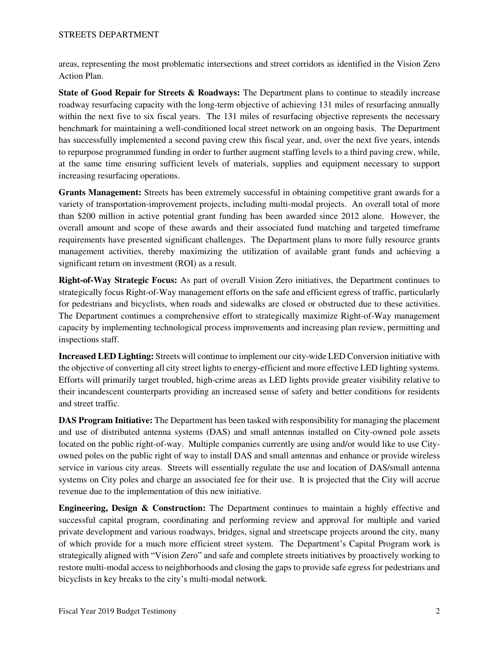areas, representing the most problematic intersections and street corridors as identified in the Vision Zero Action Plan.

**State of Good Repair for Streets & Roadways:** The Department plans to continue to steadily increase roadway resurfacing capacity with the long-term objective of achieving 131 miles of resurfacing annually within the next five to six fiscal years. The 131 miles of resurfacing objective represents the necessary benchmark for maintaining a well-conditioned local street network on an ongoing basis. The Department has successfully implemented a second paving crew this fiscal year, and, over the next five years, intends to repurpose programmed funding in order to further augment staffing levels to a third paving crew, while, at the same time ensuring sufficient levels of materials, supplies and equipment necessary to support increasing resurfacing operations.

**Grants Management:** Streets has been extremely successful in obtaining competitive grant awards for a variety of transportation-improvement projects, including multi-modal projects. An overall total of more than \$200 million in active potential grant funding has been awarded since 2012 alone. However, the overall amount and scope of these awards and their associated fund matching and targeted timeframe requirements have presented significant challenges. The Department plans to more fully resource grants management activities, thereby maximizing the utilization of available grant funds and achieving a significant return on investment (ROI) as a result.

**Right-of-Way Strategic Focus:** As part of overall Vision Zero initiatives, the Department continues to strategically focus Right-of-Way management efforts on the safe and efficient egress of traffic, particularly for pedestrians and bicyclists, when roads and sidewalks are closed or obstructed due to these activities. The Department continues a comprehensive effort to strategically maximize Right-of-Way management capacity by implementing technological process improvements and increasing plan review, permitting and inspections staff.

**Increased LED Lighting:** Streets will continue to implement our city-wide LED Conversion initiative with the objective of converting all city street lights to energy-efficient and more effective LED lighting systems. Efforts will primarily target troubled, high-crime areas as LED lights provide greater visibility relative to their incandescent counterparts providing an increased sense of safety and better conditions for residents and street traffic.

**DAS Program Initiative:** The Department has been tasked with responsibility for managing the placement and use of distributed antenna systems (DAS) and small antennas installed on City-owned pole assets located on the public right-of-way. Multiple companies currently are using and/or would like to use Cityowned poles on the public right of way to install DAS and small antennas and enhance or provide wireless service in various city areas. Streets will essentially regulate the use and location of DAS/small antenna systems on City poles and charge an associated fee for their use. It is projected that the City will accrue revenue due to the implementation of this new initiative.

**Engineering, Design & Construction:** The Department continues to maintain a highly effective and successful capital program, coordinating and performing review and approval for multiple and varied private development and various roadways, bridges, signal and streetscape projects around the city, many of which provide for a much more efficient street system. The Department's Capital Program work is strategically aligned with "Vision Zero" and safe and complete streets initiatives by proactively working to restore multi-modal access to neighborhoods and closing the gaps to provide safe egress for pedestrians and bicyclists in key breaks to the city's multi-modal network.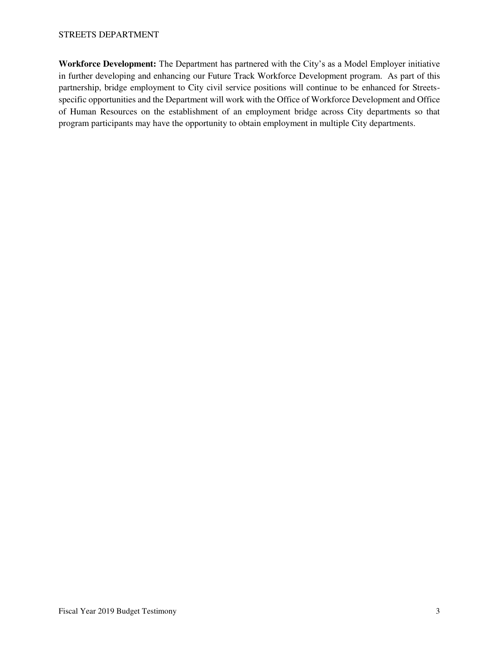**Workforce Development:** The Department has partnered with the City's as a Model Employer initiative in further developing and enhancing our Future Track Workforce Development program. As part of this partnership, bridge employment to City civil service positions will continue to be enhanced for Streetsspecific opportunities and the Department will work with the Office of Workforce Development and Office of Human Resources on the establishment of an employment bridge across City departments so that program participants may have the opportunity to obtain employment in multiple City departments.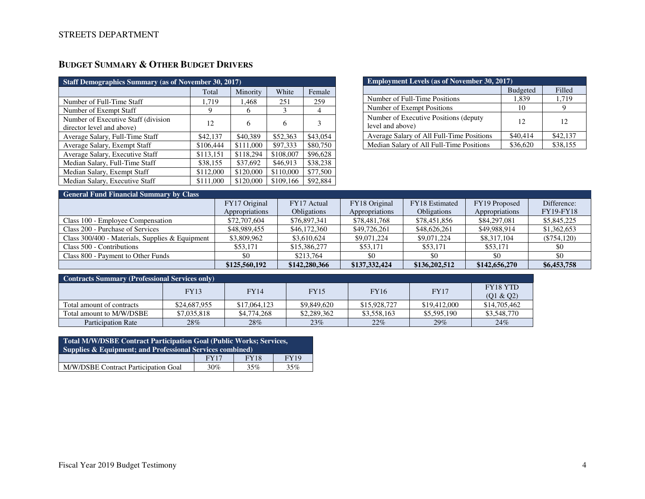# **BUDGET SUMMARY & OTHER BUDGET DRIVERS**

| <b>Staff Demographics Summary (as of November 30, 2017)</b>       |           |           |           |          |  |  |  |
|-------------------------------------------------------------------|-----------|-----------|-----------|----------|--|--|--|
|                                                                   | Total     | Minority  | White     | Female   |  |  |  |
| Number of Full-Time Staff                                         | 1,719     | 1,468     | 251       | 259      |  |  |  |
| Number of Exempt Staff                                            | 9         |           | 3         | 4        |  |  |  |
| Number of Executive Staff (division)<br>director level and above) | 12        | 6         | 6         | 3        |  |  |  |
| Average Salary, Full-Time Staff                                   | \$42,137  | \$40,389  | \$52,363  | \$43,054 |  |  |  |
| Average Salary, Exempt Staff                                      | \$106,444 | \$111,000 | \$97,333  | \$80,750 |  |  |  |
| Average Salary, Executive Staff                                   | \$113,151 | \$118,294 | \$108,007 | \$96,628 |  |  |  |
| Median Salary, Full-Time Staff                                    | \$38,155  | \$37,692  | \$46,913  | \$38,238 |  |  |  |
| Median Salary, Exempt Staff                                       | \$112,000 | \$120,000 | \$110,000 | \$77,500 |  |  |  |
| Median Salary, Executive Staff                                    | \$111,000 | \$120,000 | \$109,166 | \$92,884 |  |  |  |

| <b>Employment Levels (as of November 30, 2017)</b>         |                 |          |  |  |  |
|------------------------------------------------------------|-----------------|----------|--|--|--|
|                                                            | <b>Budgeted</b> | Filled   |  |  |  |
| Number of Full-Time Positions                              | 1.839           | 1,719    |  |  |  |
| Number of Exempt Positions                                 | 10              |          |  |  |  |
| Number of Executive Positions (deputy)<br>level and above) | 12              | 12       |  |  |  |
| Average Salary of All Full-Time Positions                  | \$40,414        | \$42,137 |  |  |  |
| Median Salary of All Full-Time Positions                   | \$36,620        | \$38,155 |  |  |  |

| <b>General Fund Financial Summary by Class</b>  |                |                    |                |                    |                |                  |
|-------------------------------------------------|----------------|--------------------|----------------|--------------------|----------------|------------------|
|                                                 | FY17 Original  | FY17 Actual        | FY18 Original  | FY18 Estimated     | FY19 Proposed  | Difference:      |
|                                                 | Appropriations | <b>Obligations</b> | Appropriations | <b>Obligations</b> | Appropriations | <b>FY19-FY18</b> |
| Class 100 - Employee Compensation               | \$72,707,604   | \$76,897,341       | \$78,481,768   | \$78,451,856       | \$84,297,081   | \$5,845,225      |
| Class 200 - Purchase of Services                | \$48,989,455   | \$46,172,360       | \$49,726,261   | \$48,626,261       | \$49,988,914   | \$1,362,653      |
| Class 300/400 - Materials, Supplies & Equipment | \$3,809,962    | \$3,610,624        | \$9,071,224    | \$9,071,224        | \$8,317,104    | $(\$754,120)$    |
| Class 500 - Contributions                       | \$53,171       | \$15,386,277       | \$53,171       | \$53,171           | \$53,171       | \$0              |
| Class 800 - Payment to Other Funds              | \$0            | \$213,764          | \$0            | \$0                | \$0            | -\$0             |
|                                                 | \$125,560,192  | \$142,280,366      | \$137,332,424  | \$136,202,512      | \$142,656,270  | \$6,453,758      |

| <b>Contracts Summary (Professional Services only)</b> |              |              |             |              |              |                              |
|-------------------------------------------------------|--------------|--------------|-------------|--------------|--------------|------------------------------|
|                                                       | <b>FY13</b>  | <b>FY14</b>  | <b>FY15</b> | <b>FY16</b>  | <b>FY17</b>  | <b>FY18 YTD</b><br>(Q1 & Q2) |
| Total amount of contracts                             | \$24,687,955 | \$17,064,123 | \$9,849,620 | \$15,928,727 | \$19,412,000 | \$14,705,462                 |
| Total amount to M/W/DSBE                              | \$7,035,818  | \$4,774,268  | \$2,289,362 | \$3,558,163  | \$5,595,190  | \$3,548,770                  |
| Participation Rate                                    | 28%          | 28%          | 23%         | 22%          | 29%          | 24%                          |

| Total M/W/DSBE Contract Participation Goal (Public Works; Services,<br>Supplies & Equipment; and Professional Services combined) |             |             |             |  |  |
|----------------------------------------------------------------------------------------------------------------------------------|-------------|-------------|-------------|--|--|
|                                                                                                                                  | <b>FY17</b> | <b>FY18</b> | <b>FY19</b> |  |  |
| M/W/DSBE Contract Participation Goal                                                                                             | 30%         | 35%         | 35%         |  |  |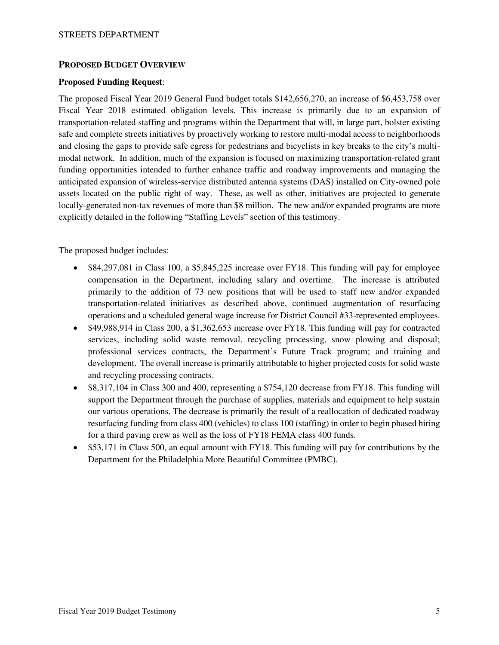## **PROPOSED BUDGET OVERVIEW**

#### **Proposed Funding Request**:

The proposed Fiscal Year 2019 General Fund budget totals \$142,656,270, an increase of \$6,453,758 over Fiscal Year 2018 estimated obligation levels. This increase is primarily due to an expansion of transportation-related staffing and programs within the Department that will, in large part, bolster existing safe and complete streets initiatives by proactively working to restore multi-modal access to neighborhoods and closing the gaps to provide safe egress for pedestrians and bicyclists in key breaks to the city's multimodal network. In addition, much of the expansion is focused on maximizing transportation-related grant funding opportunities intended to further enhance traffic and roadway improvements and managing the anticipated expansion of wireless-service distributed antenna systems (DAS) installed on City-owned pole assets located on the public right of way. These, as well as other, initiatives are projected to generate locally-generated non-tax revenues of more than \$8 million. The new and/or expanded programs are more explicitly detailed in the following "Staffing Levels" section of this testimony.

The proposed budget includes:

- \$84,297,081 in Class 100, a \$5,845,225 increase over FY18. This funding will pay for employee compensation in the Department, including salary and overtime. The increase is attributed primarily to the addition of 73 new positions that will be used to staff new and/or expanded transportation-related initiatives as described above, continued augmentation of resurfacing operations and a scheduled general wage increase for District Council #33-represented employees.
- \$49,988,914 in Class 200, a \$1,362,653 increase over FY18. This funding will pay for contracted services, including solid waste removal, recycling processing, snow plowing and disposal; professional services contracts, the Department's Future Track program; and training and development. The overall increase is primarily attributable to higher projected costs for solid waste and recycling processing contracts.
- \$8,317,104 in Class 300 and 400, representing a \$754,120 decrease from FY18. This funding will support the Department through the purchase of supplies, materials and equipment to help sustain our various operations. The decrease is primarily the result of a reallocation of dedicated roadway resurfacing funding from class 400 (vehicles) to class 100 (staffing) in order to begin phased hiring for a third paving crew as well as the loss of FY18 FEMA class 400 funds.
- \$53,171 in Class 500, an equal amount with FY18. This funding will pay for contributions by the Department for the Philadelphia More Beautiful Committee (PMBC).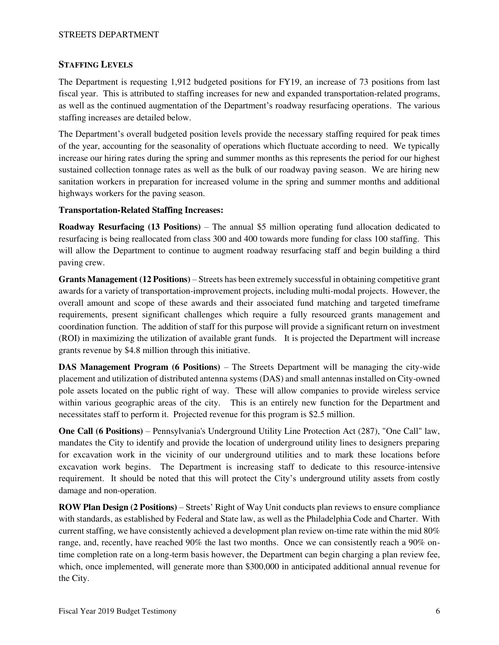## **STAFFING LEVELS**

The Department is requesting 1,912 budgeted positions for FY19, an increase of 73 positions from last fiscal year. This is attributed to staffing increases for new and expanded transportation-related programs, as well as the continued augmentation of the Department's roadway resurfacing operations. The various staffing increases are detailed below.

The Department's overall budgeted position levels provide the necessary staffing required for peak times of the year, accounting for the seasonality of operations which fluctuate according to need. We typically increase our hiring rates during the spring and summer months as this represents the period for our highest sustained collection tonnage rates as well as the bulk of our roadway paving season. We are hiring new sanitation workers in preparation for increased volume in the spring and summer months and additional highways workers for the paving season.

## **Transportation-Related Staffing Increases:**

**Roadway Resurfacing (13 Positions)** – The annual \$5 million operating fund allocation dedicated to resurfacing is being reallocated from class 300 and 400 towards more funding for class 100 staffing. This will allow the Department to continue to augment roadway resurfacing staff and begin building a third paving crew.

**Grants Management (12 Positions)** – Streets has been extremely successful in obtaining competitive grant awards for a variety of transportation-improvement projects, including multi-modal projects. However, the overall amount and scope of these awards and their associated fund matching and targeted timeframe requirements, present significant challenges which require a fully resourced grants management and coordination function. The addition of staff for this purpose will provide a significant return on investment (ROI) in maximizing the utilization of available grant funds. It is projected the Department will increase grants revenue by \$4.8 million through this initiative.

**DAS Management Program (6 Positions)** – The Streets Department will be managing the city-wide placement and utilization of distributed antenna systems (DAS) and small antennas installed on City-owned pole assets located on the public right of way. These will allow companies to provide wireless service within various geographic areas of the city. This is an entirely new function for the Department and necessitates staff to perform it. Projected revenue for this program is \$2.5 million.

**One Call (6 Positions)** – Pennsylvania's Underground Utility Line Protection Act (287), "One Call" law, mandates the City to identify and provide the location of underground utility lines to designers preparing for excavation work in the vicinity of our underground utilities and to mark these locations before excavation work begins. The Department is increasing staff to dedicate to this resource-intensive requirement. It should be noted that this will protect the City's underground utility assets from costly damage and non-operation.

**ROW Plan Design (2 Positions)** – Streets' Right of Way Unit conducts plan reviews to ensure compliance with standards, as established by Federal and State law, as well as the Philadelphia Code and Charter. With current staffing, we have consistently achieved a development plan review on-time rate within the mid 80% range, and, recently, have reached 90% the last two months. Once we can consistently reach a 90% ontime completion rate on a long-term basis however, the Department can begin charging a plan review fee, which, once implemented, will generate more than \$300,000 in anticipated additional annual revenue for the City.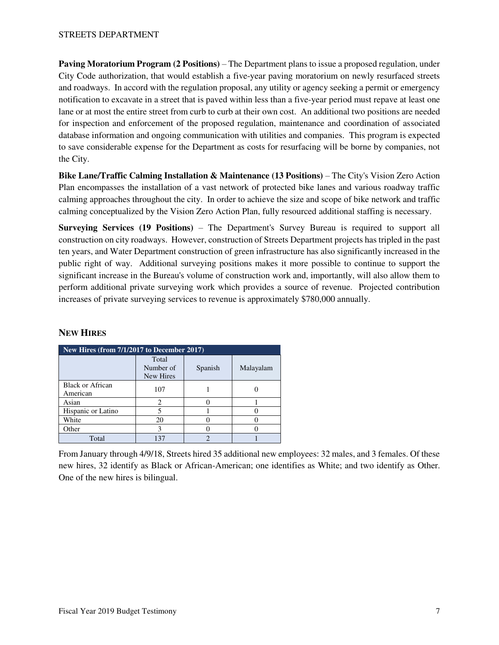**Paving Moratorium Program (2 Positions)** – The Department plans to issue a proposed regulation, under City Code authorization, that would establish a five-year paving moratorium on newly resurfaced streets and roadways. In accord with the regulation proposal, any utility or agency seeking a permit or emergency notification to excavate in a street that is paved within less than a five-year period must repave at least one lane or at most the entire street from curb to curb at their own cost. An additional two positions are needed for inspection and enforcement of the proposed regulation, maintenance and coordination of associated database information and ongoing communication with utilities and companies. This program is expected to save considerable expense for the Department as costs for resurfacing will be borne by companies, not the City.

**Bike Lane/Traffic Calming Installation & Maintenance (13 Positions)** – The City's Vision Zero Action Plan encompasses the installation of a vast network of protected bike lanes and various roadway traffic calming approaches throughout the city. In order to achieve the size and scope of bike network and traffic calming conceptualized by the Vision Zero Action Plan, fully resourced additional staffing is necessary.

**Surveying Services (19 Positions)** – The Department's Survey Bureau is required to support all construction on city roadways. However, construction of Streets Department projects has tripled in the past ten years, and Water Department construction of green infrastructure has also significantly increased in the public right of way. Additional surveying positions makes it more possible to continue to support the significant increase in the Bureau's volume of construction work and, importantly, will also allow them to perform additional private surveying work which provides a source of revenue. Projected contribution increases of private surveying services to revenue is approximately \$780,000 annually.

| New Hires (from 7/1/2017 to December 2017) |                                 |         |           |  |  |  |
|--------------------------------------------|---------------------------------|---------|-----------|--|--|--|
|                                            | Total<br>Number of<br>New Hires | Spanish | Malayalam |  |  |  |
| <b>Black or African</b><br>American        | 107                             |         |           |  |  |  |
| Asian                                      |                                 |         |           |  |  |  |
| Hispanic or Latino                         |                                 |         |           |  |  |  |
| White                                      | 20                              |         |           |  |  |  |
| Other                                      |                                 |         |           |  |  |  |
| Total                                      | 137                             |         |           |  |  |  |

## **NEW HIRES**

From January through 4/9/18, Streets hired 35 additional new employees: 32 males, and 3 females. Of these new hires, 32 identify as Black or African-American; one identifies as White; and two identify as Other. One of the new hires is bilingual.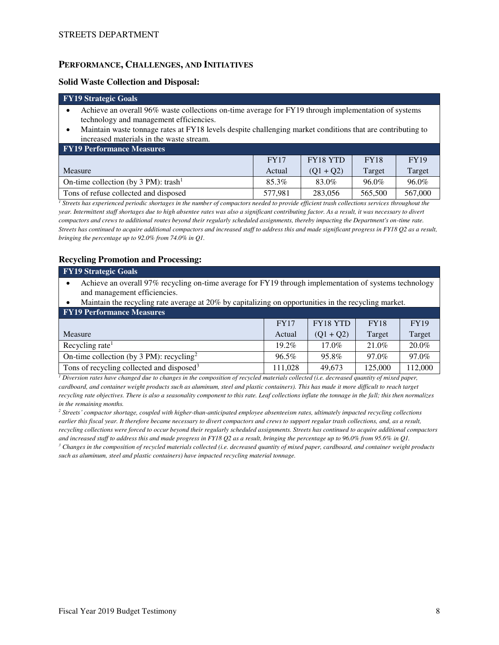## **PERFORMANCE, CHALLENGES, AND INITIATIVES**

#### **Solid Waste Collection and Disposal:**

#### **FY19 Strategic Goals**

- Achieve an overall 96% waste collections on-time average for FY19 through implementation of systems technology and management efficiencies.
- Maintain waste tonnage rates at FY18 levels despite challenging market conditions that are contributing to increased materials in the waste stream.

| <b>FY19 Performance Measures</b>                 |             |             |             |             |  |  |  |
|--------------------------------------------------|-------------|-------------|-------------|-------------|--|--|--|
|                                                  | <b>FY17</b> | FY18 YTD    | <b>FY18</b> | <b>FY19</b> |  |  |  |
| Measure                                          | Actual      | $(01 + 02)$ | Target      | Target      |  |  |  |
| On-time collection (by 3 PM): trash <sup>1</sup> | 85.3%       | 83.0%       | 96.0%       | 96.0%       |  |  |  |
| Tons of refuse collected and disposed            | 577.981     | 283.056     | 565,500     | 567,000     |  |  |  |

<sup>1</sup> Streets has experienced periodic shortages in the number of compactors needed to provide efficient trash collections services throughout the *year. Intermittent staff shortages due to high absentee rates was also a significant contributing factor. As a result, it was necessary to divert compactors and crews to additional routes beyond their regularly scheduled assignments, thereby impacting the Department's on-time rate. Streets has continued to acquire additional compactors and increased staff to address this and made significant progress in FY18 Q2 as a result, bringing the percentage up to 92.0% from 74.0% in Q1.* 

## **Recycling Promotion and Processing:**

| <b>FY19 Strategic Goals</b>                                                                            |             |                 |             |             |  |
|--------------------------------------------------------------------------------------------------------|-------------|-----------------|-------------|-------------|--|
| Achieve an overall 97% recycling on-time average for FY19 through implementation of systems technology |             |                 |             |             |  |
| and management efficiencies.                                                                           |             |                 |             |             |  |
| Maintain the recycling rate average at 20% by capitalizing on opportunities in the recycling market.   |             |                 |             |             |  |
| <b>FY19 Performance Measures</b>                                                                       |             |                 |             |             |  |
|                                                                                                        | <b>FY17</b> | <b>FY18 YTD</b> | <b>FY18</b> | <b>FY19</b> |  |
| Measure                                                                                                | Actual      | $(Q1 + Q2)$     | Target      | Target      |  |

| wwasule                                               | Actual | \VI T V41 | 1 di gut | 1 ai gut |
|-------------------------------------------------------|--------|-----------|----------|----------|
| Recycling rate                                        | 19.2%  | $17.0\%$  | 21.0%    | 20.0%    |
| On-time collection (by 3 PM): recycling <sup>2</sup>  | 96.5%  | 95.8%     | 97.0%    | 97.0%    |
| Tons of recycling collected and disposed <sup>3</sup> | .028   | 49.673    | 125,000  | 12,000   |

*1 Diversion rates have changed due to changes in the composition of recycled materials collected (i.e. decreased quantity of mixed paper, cardboard, and container weight products such as aluminum, steel and plastic containers). This has made it more difficult to reach target recycling rate objectives. There is also a seasonality component to this rate. Leaf collections inflate the tonnage in the fall; this then normalizes in the remaining months.* 

*<sup>2</sup> Streets' compactor shortage, coupled with higher-than-anticipated employee absenteeism rates, ultimately impacted recycling collections earlier this fiscal year. It therefore became necessary to divert compactors and crews to support regular trash collections, and, as a result, recycling collections were forced to occur beyond their regularly scheduled assignments. Streets has continued to acquire additional compactors and increased staff to address this and made progress in FY18 Q2 as a result, bringing the percentage up to 96.0% from 95.6% in Q1.* 

<sup>3</sup> Changes in the composition of recycled materials collected (i.e. decreased quantity of mixed paper, cardboard, and container weight products *such as aluminum, steel and plastic containers) have impacted recycling material tonnage.*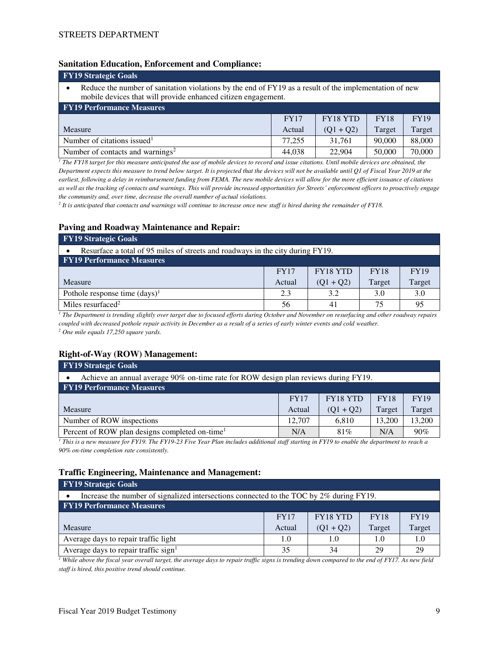#### **Sanitation Education, Enforcement and Compliance:**

| <b>FY19 Strategic Goals</b>                                                                                                                                             |             |             |             |             |  |
|-------------------------------------------------------------------------------------------------------------------------------------------------------------------------|-------------|-------------|-------------|-------------|--|
| Reduce the number of sanitation violations by the end of FY19 as a result of the implementation of new<br>mobile devices that will provide enhanced citizen engagement. |             |             |             |             |  |
| <b>FY19 Performance Measures</b>                                                                                                                                        |             |             |             |             |  |
|                                                                                                                                                                         | <b>FY17</b> | FY18 YTD    | <b>FY18</b> | <b>FY19</b> |  |
| Measure                                                                                                                                                                 | Actual      | $(Q1 + Q2)$ | Target      | Target      |  |
| Number of citations issued <sup>1</sup>                                                                                                                                 | 77.255      | 31.761      | 90,000      | 88,000      |  |
| Number of contacts and warnings <sup>2</sup>                                                                                                                            | 44,038      | 22,904      | 50,000      | 70,000      |  |
|                                                                                                                                                                         |             |             |             |             |  |

<sup>1</sup> The FY18 target for this measure anticipated the use of mobile devices to record and issue citations. Until mobile devices are obtained, the *Department expects this measure to trend below target. It is projected that the devices will not be available until Q1 of Fiscal Year 2019 at the earliest, following a delay in reimbursement funding from FEMA. The new mobile devices will allow for the more efficient issuance of citations as well as the tracking of contacts and warnings. This will provide increased opportunities for Streets' enforcement officers to proactively engage the community and, over time, decrease the overall number of actual violations.* 

*2 It is anticipated that contacts and warnings will continue to increase once new staff is hired during the remainder of FY18.* 

#### **Paving and Roadway Maintenance and Repair:**

| <b>FY19 Strategic Goals</b>                                                    |             |                 |             |             |  |  |
|--------------------------------------------------------------------------------|-------------|-----------------|-------------|-------------|--|--|
| Resurface a total of 95 miles of streets and roadways in the city during FY19. |             |                 |             |             |  |  |
| <b>FY19 Performance Measures</b>                                               |             |                 |             |             |  |  |
|                                                                                | <b>FY17</b> | <b>FY18 YTD</b> | <b>FY18</b> | <b>FY19</b> |  |  |
| Measure                                                                        | Actual      | $(Q1 + Q2)$     | Target      | Target      |  |  |
| Pothole response time $(days)^1$                                               | 2.3         | 3.2             | 3.0         | 3.0         |  |  |
| Miles resurfaced <sup>2</sup>                                                  | 56          | 41              | 75          | 95          |  |  |

*1 The Department is trending slightly over target due to focused efforts during October and November on resurfacing and other roadway repairs coupled with decreased pothole repair activity in December as a result of a series of early winter events and cold weather.* 

*2 One mile equals 17,250 square yards.*

## **Right-of-Way (ROW) Management:**

| <b>FY19 Strategic Goals</b>                                                         |             |                 |             |             |  |
|-------------------------------------------------------------------------------------|-------------|-----------------|-------------|-------------|--|
| Achieve an annual average 90% on-time rate for ROW design plan reviews during FY19. |             |                 |             |             |  |
| <b>FY19 Performance Measures</b>                                                    |             |                 |             |             |  |
|                                                                                     | <b>FY17</b> | <b>FY18 YTD</b> | <b>FY18</b> | <b>FY19</b> |  |
| Measure                                                                             | Actual      | $(Q1 + Q2)$     | Target      | Target      |  |
| Number of ROW inspections                                                           | 12,707      | 6,810           | 13,200      | 13,200      |  |
| Percent of ROW plan designs completed on-time <sup>1</sup>                          | N/A         | 81%             | N/A         | 90%         |  |

<sup>1</sup> This is a new measure for FY19. The FY19-23 Five Year Plan includes additional staff starting in FY19 to enable the department to reach a *90% on-time completion rate consistently.* 

#### **Traffic Engineering, Maintenance and Management:**

| <b>FY19 Strategic Goals</b>                                                             |        |             |        |        |  |  |  |  |  |
|-----------------------------------------------------------------------------------------|--------|-------------|--------|--------|--|--|--|--|--|
| Increase the number of signalized intersections connected to the TOC by 2% during FY19. |        |             |        |        |  |  |  |  |  |
| <b>FY19 Performance Measures</b>                                                        |        |             |        |        |  |  |  |  |  |
| <b>FY18 YTD</b><br><b>FY19</b><br><b>FY18</b><br><b>FY17</b>                            |        |             |        |        |  |  |  |  |  |
| Measure                                                                                 | Actual | $(Q1 + Q2)$ | Target | Target |  |  |  |  |  |
| Average days to repair traffic light                                                    | 1.0    | 1.0         | 1.0    | 1.0    |  |  |  |  |  |
| Average days to repair traffic sign <sup>1</sup>                                        | 35     | 34          | 29     | 29     |  |  |  |  |  |

*1 While above the fiscal year overall target, the average days to repair traffic signs is trending down compared to the end of FY17. As new field staff is hired, this positive trend should continue.*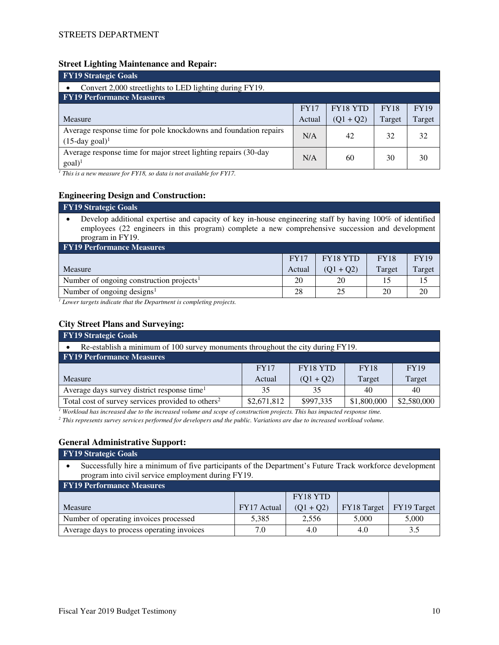#### **Street Lighting Maintenance and Repair:**

| <b>FY19 Strategic Goals</b>                                                                       |             |                 |             |             |  |  |  |  |  |
|---------------------------------------------------------------------------------------------------|-------------|-----------------|-------------|-------------|--|--|--|--|--|
| Convert 2,000 streetlights to LED lighting during FY19.                                           |             |                 |             |             |  |  |  |  |  |
| <b>FY19 Performance Measures</b>                                                                  |             |                 |             |             |  |  |  |  |  |
|                                                                                                   | <b>FY17</b> | <b>FY18 YTD</b> | <b>FY18</b> | <b>FY19</b> |  |  |  |  |  |
| <b>Measure</b>                                                                                    | Actual      | $(Q1 + Q2)$     | Target      | Target      |  |  |  |  |  |
| Average response time for pole knockdowns and foundation repairs<br>$(15$ -day goal) <sup>1</sup> | N/A         | 42              | 32          | 32          |  |  |  |  |  |
| Average response time for major street lighting repairs (30-day<br>$goal)^1$                      | N/A         | 60              | 30          | 30          |  |  |  |  |  |

<sup>1</sup> This is a new measure for FY18, so data is not available for FY17.

## **Engineering Design and Construction:**

## **FY19 Strategic Goals**

• Develop additional expertise and capacity of key in-house engineering staff by having 100% of identified employees (22 engineers in this program) complete a new comprehensive succession and development program in FY19.

| <b>FY19 Performance Measures</b>                     |             |             |             |             |  |  |  |  |  |
|------------------------------------------------------|-------------|-------------|-------------|-------------|--|--|--|--|--|
|                                                      | <b>FY17</b> | FY18 YTD    | <b>FY18</b> | <b>FY19</b> |  |  |  |  |  |
| Measure                                              | Actual      | $(01 + 02)$ | Target      | Target      |  |  |  |  |  |
| Number of ongoing construction projects <sup>1</sup> | 20          | 20          | 15          | 15          |  |  |  |  |  |
| Number of ongoing designs <sup>1</sup>               | 28          | 25          | 20          | 20          |  |  |  |  |  |

*1 Lower targets indicate that the Department is completing projects.*

## **City Street Plans and Surveying:**

| <b>FY19</b> Strategic Goals                                                     |             |             |             |             |  |  |  |  |  |
|---------------------------------------------------------------------------------|-------------|-------------|-------------|-------------|--|--|--|--|--|
| Re-establish a minimum of 100 survey monuments throughout the city during FY19. |             |             |             |             |  |  |  |  |  |
| <b>FY19 Performance Measures</b>                                                |             |             |             |             |  |  |  |  |  |
| <b>FY18 YTD</b><br><b>FY18</b><br><b>FY19</b><br><b>FY17</b>                    |             |             |             |             |  |  |  |  |  |
| Measure                                                                         | Actual      | $(Q1 + Q2)$ | Target      | Target      |  |  |  |  |  |
| Average days survey district response time <sup>1</sup>                         | 35          | 35          | 40          | 40          |  |  |  |  |  |
| Total cost of survey services provided to others <sup>2</sup>                   | \$2,671,812 | \$997,335   | \$1,800,000 | \$2,580,000 |  |  |  |  |  |

<sup>1</sup> Workload has increased due to the increased volume and scope of construction projects. This has impacted response time.

*2 This represents survey services performed for developers and the public. Variations are due to increased workload volume.*

## **General Administrative Support:**

#### **FY19 Strategic Goals**

• Successfully hire a minimum of five participants of the Department's Future Track workforce development program into civil service employment during FY19.

| <b>FY19 Performance Measures</b>           |             |                 |             |             |  |  |  |  |
|--------------------------------------------|-------------|-----------------|-------------|-------------|--|--|--|--|
|                                            |             | <b>FY18 YTD</b> |             |             |  |  |  |  |
| Measure                                    | FY17 Actual | $(01 + 02)$     | FY18 Target | FY19 Target |  |  |  |  |
| Number of operating invoices processed     | 5.385       | 2.556           | 5.000       | 5,000       |  |  |  |  |
| Average days to process operating invoices | 7.0         | 4.0             | 4.0         | 3.5         |  |  |  |  |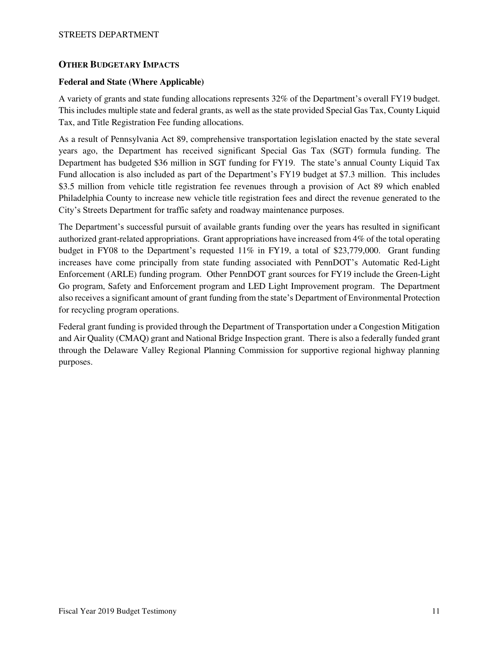## **OTHER BUDGETARY IMPACTS**

## **Federal and State (Where Applicable)**

A variety of grants and state funding allocations represents 32% of the Department's overall FY19 budget. This includes multiple state and federal grants, as well as the state provided Special Gas Tax, County Liquid Tax, and Title Registration Fee funding allocations.

As a result of Pennsylvania Act 89, comprehensive transportation legislation enacted by the state several years ago, the Department has received significant Special Gas Tax (SGT) formula funding. The Department has budgeted \$36 million in SGT funding for FY19. The state's annual County Liquid Tax Fund allocation is also included as part of the Department's FY19 budget at \$7.3 million. This includes \$3.5 million from vehicle title registration fee revenues through a provision of Act 89 which enabled Philadelphia County to increase new vehicle title registration fees and direct the revenue generated to the City's Streets Department for traffic safety and roadway maintenance purposes.

The Department's successful pursuit of available grants funding over the years has resulted in significant authorized grant-related appropriations. Grant appropriations have increased from 4% of the total operating budget in FY08 to the Department's requested 11% in FY19, a total of \$23,779,000. Grant funding increases have come principally from state funding associated with PennDOT's Automatic Red-Light Enforcement (ARLE) funding program. Other PennDOT grant sources for FY19 include the Green-Light Go program, Safety and Enforcement program and LED Light Improvement program. The Department also receives a significant amount of grant funding from the state's Department of Environmental Protection for recycling program operations.

Federal grant funding is provided through the Department of Transportation under a Congestion Mitigation and Air Quality (CMAQ) grant and National Bridge Inspection grant. There is also a federally funded grant through the Delaware Valley Regional Planning Commission for supportive regional highway planning purposes.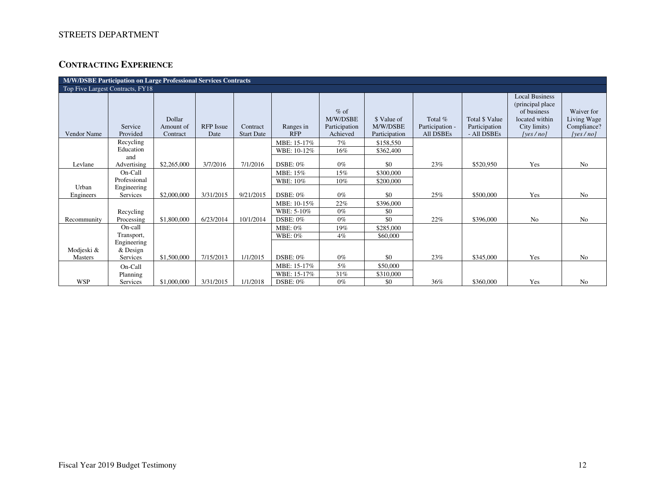# **CONTRACTING EXPERIENCE**

| M/W/DSBE Participation on Large Professional Services Contracts |                           |                                 |                          |                               |                         |                                                 |                                          |                                         |                                                |                                                                                                             |                                                      |  |
|-----------------------------------------------------------------|---------------------------|---------------------------------|--------------------------|-------------------------------|-------------------------|-------------------------------------------------|------------------------------------------|-----------------------------------------|------------------------------------------------|-------------------------------------------------------------------------------------------------------------|------------------------------------------------------|--|
| Top Five Largest Contracts, FY18                                |                           |                                 |                          |                               |                         |                                                 |                                          |                                         |                                                |                                                                                                             |                                                      |  |
| Vendor Name                                                     | Service<br>Provided       | Dollar<br>Amount of<br>Contract | <b>RFP</b> Issue<br>Date | Contract<br><b>Start Date</b> | Ranges in<br><b>RFP</b> | $%$ of<br>M/W/DSBE<br>Participation<br>Achieved | \$ Value of<br>M/W/DSBE<br>Participation | Total %<br>Participation -<br>All DSBEs | Total \$ Value<br>Participation<br>- All DSBEs | <b>Local Business</b><br>(principal place)<br>of business<br>located within<br>City limits)<br>[yes $/no$ ] | Waiver for<br>Living Wage<br>Compliance?<br>[yes/no] |  |
|                                                                 | Recycling                 |                                 |                          |                               | MBE: 15-17%             | 7%                                              | \$158,550                                |                                         |                                                |                                                                                                             |                                                      |  |
|                                                                 | Education                 |                                 |                          |                               | WBE: 10-12%             | 16%                                             | \$362,400                                |                                         |                                                |                                                                                                             |                                                      |  |
| Levlane                                                         | and<br>Advertising        | \$2,265,000                     | 3/7/2016                 | 7/1/2016                      | DSBE: 0%                | $0\%$                                           | \$0                                      | 23%                                     | \$520,950                                      | Yes                                                                                                         | No                                                   |  |
|                                                                 | On-Call                   |                                 |                          |                               | MBE: 15%                | 15%                                             | \$300,000                                |                                         |                                                |                                                                                                             |                                                      |  |
| Urban                                                           | Professional              |                                 |                          |                               | WBE: 10%                | 10%                                             | \$200,000                                |                                         |                                                |                                                                                                             |                                                      |  |
| Engineers                                                       | Engineering<br>Services   | \$2,000,000                     | 3/31/2015                | 9/21/2015                     | <b>DSBE: 0%</b>         | $0\%$                                           | \$0                                      | 25%                                     | \$500,000                                      | Yes                                                                                                         | N <sub>0</sub>                                       |  |
|                                                                 |                           |                                 |                          |                               | MBE: 10-15%             | 22%                                             | \$396,000                                |                                         |                                                |                                                                                                             |                                                      |  |
|                                                                 | Recycling                 |                                 |                          |                               | WBE: 5-10%              | $0\%$                                           | \$0                                      |                                         |                                                |                                                                                                             |                                                      |  |
| Recommunity                                                     | Processing                | \$1,800,000                     | 6/23/2014                | 10/1/2014                     | DSBE: 0%                | $0\%$                                           | \$0                                      | 22%                                     | \$396,000                                      | No                                                                                                          | N <sub>o</sub>                                       |  |
|                                                                 | On-call                   |                                 |                          |                               | MBE: 0%                 | 19%                                             | \$285,000                                |                                         |                                                |                                                                                                             |                                                      |  |
|                                                                 | Transport,                |                                 |                          |                               | <b>WBE: 0%</b>          | 4%                                              | \$60,000                                 |                                         |                                                |                                                                                                             |                                                      |  |
| Modjeski &                                                      | Engineering<br>$&$ Design |                                 |                          |                               |                         |                                                 |                                          |                                         |                                                |                                                                                                             |                                                      |  |
| Masters                                                         | Services                  | \$1,500,000                     | 7/15/2013                | 1/1/2015                      | DSBE: $0\%$             | $0\%$                                           | \$0                                      | 23%                                     | \$345,000                                      | Yes                                                                                                         | N <sub>o</sub>                                       |  |
|                                                                 | On-Call                   |                                 |                          |                               | MBE: 15-17%             | 5%                                              | \$50,000                                 |                                         |                                                |                                                                                                             |                                                      |  |
|                                                                 | Planning                  |                                 |                          |                               | WBE: 15-17%             | 31%                                             | \$310,000                                |                                         |                                                |                                                                                                             |                                                      |  |
| <b>WSP</b>                                                      | Services                  | \$1,000,000                     | 3/31/2015                | 1/1/2018                      | DSBE: $0\%$             | $0\%$                                           | \$0                                      | 36%                                     | \$360,000                                      | Yes                                                                                                         | N <sub>o</sub>                                       |  |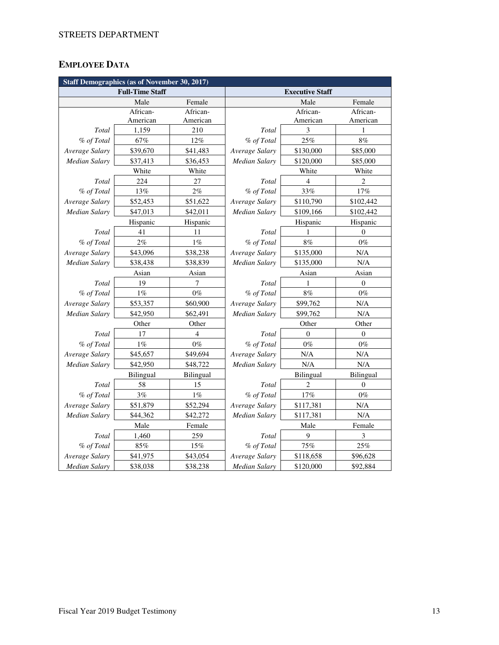# **EMPLOYEE DATA**

| <b>Staff Demographics (as of November 30, 2017)</b> |                        |                  |                        |                  |                  |  |  |  |
|-----------------------------------------------------|------------------------|------------------|------------------------|------------------|------------------|--|--|--|
|                                                     | <b>Full-Time Staff</b> |                  | <b>Executive Staff</b> |                  |                  |  |  |  |
|                                                     | Male                   | Female           |                        | Male             | Female           |  |  |  |
|                                                     | African-               | African-         |                        | African-         | African-         |  |  |  |
|                                                     | American               | American         |                        | American         | American         |  |  |  |
| Total                                               | 1,159                  | 210              | Total                  | 3                | 1                |  |  |  |
| % of Total                                          | 67%                    | 12%              | % of Total             | 25%              | 8%               |  |  |  |
| Average Salary                                      | \$39,670               | \$41,483         | Average Salary         | \$130,000        | \$85,000         |  |  |  |
| <b>Median Salary</b>                                | \$37,413               | \$36,453         | Median Salary          | \$120,000        | \$85,000         |  |  |  |
|                                                     | White                  | White            |                        | White            | White            |  |  |  |
| Total                                               | 224                    | 27               | <b>Total</b>           | $\overline{4}$   | $\overline{c}$   |  |  |  |
| % of Total                                          | 13%                    | 2%               | % of Total             | 33%              | 17%              |  |  |  |
| Average Salary                                      | \$52,453               | \$51,622         | Average Salary         | \$110,790        | \$102,442        |  |  |  |
| Median Salary                                       | \$47,013               | \$42,011         | Median Salary          | \$109,166        | \$102,442        |  |  |  |
|                                                     | Hispanic               | Hispanic         |                        | Hispanic         | Hispanic         |  |  |  |
| Total                                               | 41                     | 11               | Total                  | 1                | $\theta$         |  |  |  |
| % of Total                                          | 2%                     | $1\%$            | % of Total             | $8\%$            | $0\%$            |  |  |  |
| Average Salary                                      | \$43,096               | \$38,238         | Average Salary         | \$135,000        | N/A              |  |  |  |
| <b>Median Salary</b>                                | \$38,438               | \$38,839         | Median Salary          | \$135,000        | N/A              |  |  |  |
|                                                     | Asian                  | Asian            | Asian                  |                  | Asian            |  |  |  |
| Total                                               | 19                     | 7                | Total                  | 1                | $\boldsymbol{0}$ |  |  |  |
| % of Total                                          | $1\%$                  | $0\%$            | % of Total             | 8%               | $0\%$            |  |  |  |
| Average Salary                                      | \$53,357               | \$60,900         | Average Salary         | \$99,762         | N/A              |  |  |  |
| <b>Median Salary</b>                                | \$42,950               | \$62,491         | <b>Median Salary</b>   | \$99,762         | N/A              |  |  |  |
|                                                     | Other                  | Other            |                        | Other            | Other            |  |  |  |
| Total                                               | 17                     | 4                | Total                  | $\theta$         | $\theta$         |  |  |  |
| % of Total                                          | $1\%$                  | $0\%$            | % of Total             | $0\%$            | $0\%$            |  |  |  |
| Average Salary                                      | \$45,657               | \$49,694         | Average Salary         | N/A              | N/A              |  |  |  |
| <b>Median Salary</b>                                | \$42,950               | \$48,722         | Median Salary          | N/A              | N/A              |  |  |  |
|                                                     | <b>Bilingual</b>       | <b>Bilingual</b> |                        | <b>Bilingual</b> | <b>Bilingual</b> |  |  |  |
| Total                                               | 58                     | 15               | Total                  | 2                | $\boldsymbol{0}$ |  |  |  |
| % of Total                                          | 3%                     | $1\%$            | % of Total             | 17%              | $0\%$            |  |  |  |
| Average Salary                                      | \$51,879               | \$52,294         | Average Salary         | \$117,381        | N/A              |  |  |  |
| <b>Median Salary</b>                                | \$44,362               | \$42,272         | Median Salary          | \$117,381        | N/A              |  |  |  |
|                                                     | Male                   | Female           | Male                   |                  | Female           |  |  |  |
| Total                                               | 1,460                  | 259              | Total                  | 9                | 3                |  |  |  |
| % of Total                                          | $85\%$                 | 15%              | % of Total             | 75%              | 25%              |  |  |  |
| Average Salary                                      | \$41,975               | \$43,054         | Average Salary         | \$118,658        | \$96,628         |  |  |  |
| Median Salary                                       | \$38,038               | \$38,238         | Median Salary          | \$120,000        | \$92,884         |  |  |  |